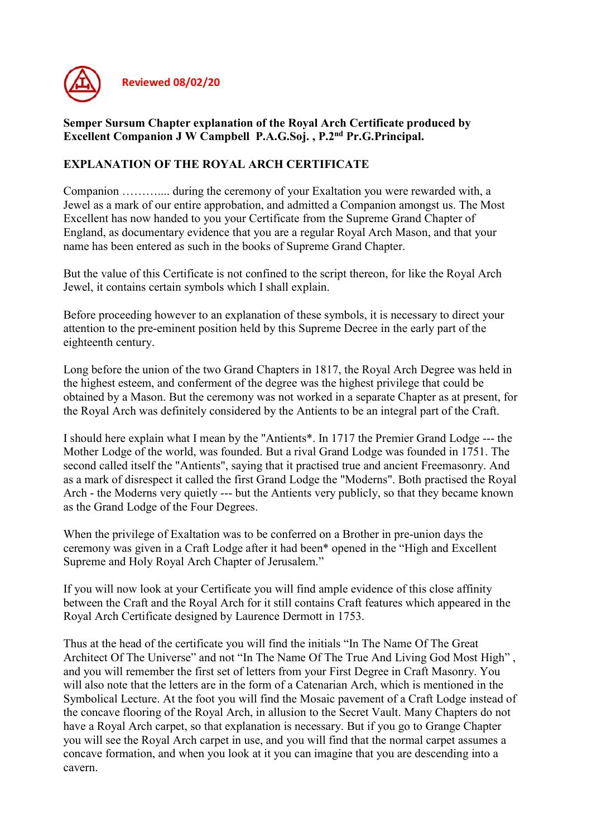

## Semper Sursum Chapter explanation of the Royal Arch Certificate produced by Excellent Companion J W Campbell P.A.G.Soj. , P.2nd Pr.G.Principal.

# EXPLANATION OF THE ROYAL ARCH CERTIFICATE

Companion ……….... during the ceremony of your Exaltation you were rewarded with, a Jewel as a mark of our entire approbation, and admitted a Companion amongst us. The Most Excellent has now handed to you your Certificate from the Supreme Grand Chapter of England, as documentary evidence that you are a regular Royal Arch Mason, and that your name has been entered as such in the books of Supreme Grand Chapter.

But the value of this Certificate is not confined to the script thereon, for like the Royal Arch Jewel, it contains certain symbols which I shall explain.

Before proceeding however to an explanation of these symbols, it is necessary to direct your attention to the pre-eminent position held by this Supreme Decree in the early part of the eighteenth century.

Long before the union of the two Grand Chapters in 1817, the Royal Arch Degree was held in the highest esteem, and conferment of the degree was the highest privilege that could be obtained by a Mason. But the ceremony was not worked in a separate Chapter as at present, for the Royal Arch was definitely considered by the Antients to be an integral part of the Craft.

I should here explain what I mean by the "Antients\*. In 1717 the Premier Grand Lodge --- the Mother Lodge of the world, was founded. But a rival Grand Lodge was founded in 1751. The second called itself the "Antients", saying that it practised true and ancient Freemasonry. And as a mark of disrespect it called the first Grand Lodge the "Moderns". Both practised the Royal Arch - the Moderns very quietly --- but the Antients very publicly, so that they became known as the Grand Lodge of the Four Degrees.

When the privilege of Exaltation was to be conferred on a Brother in pre-union days the ceremony was given in a Craft Lodge after it had been\* opened in the "High and Excellent Supreme and Holy Royal Arch Chapter of Jerusalem."

If you will now look at your Certificate you will find ample evidence of this close affinity between the Craft and the Royal Arch for it still contains Craft features which appeared in the Royal Arch Certificate designed by Laurence Dermott in 1753.

Thus at the head of the certificate you will find the initials "In The Name Of The Great Architect Of The Universe" and not "In The Name Of The True And Living God Most High" , and you will remember the first set of letters from your First Degree in Craft Masonry. You will also note that the letters are in the form of a Catenarian Arch, which is mentioned in the Symbolical Lecture. At the foot you will find the Mosaic pavement of a Craft Lodge instead of the concave flooring of the Royal Arch, in allusion to the Secret Vault. Many Chapters do not have a Royal Arch carpet, so that explanation is necessary. But if you go to Grange Chapter you will see the Royal Arch carpet in use, and you will find that the normal carpet assumes a concave formation, and when you look at it you can imagine that you are descending into a cavern.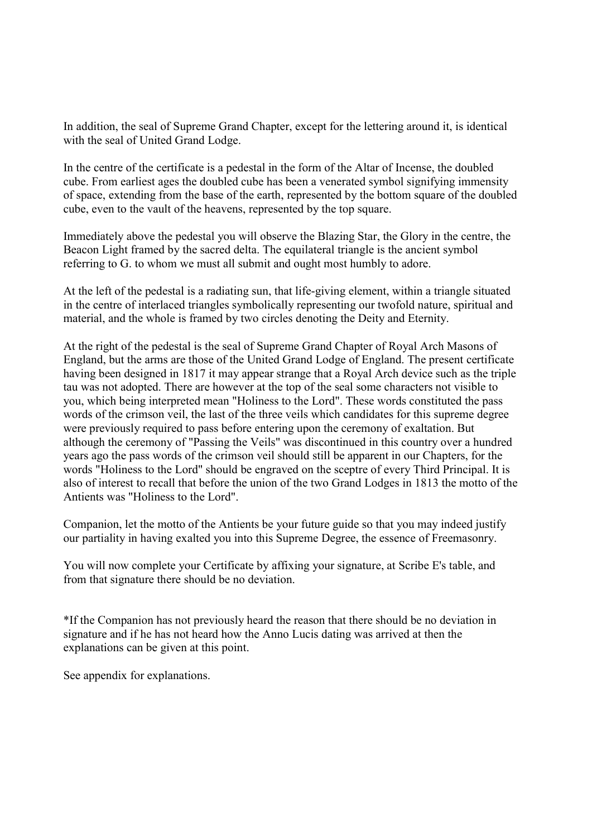In addition, the seal of Supreme Grand Chapter, except for the lettering around it, is identical with the seal of United Grand Lodge.

In the centre of the certificate is a pedestal in the form of the Altar of Incense, the doubled cube. From earliest ages the doubled cube has been a venerated symbol signifying immensity of space, extending from the base of the earth, represented by the bottom square of the doubled cube, even to the vault of the heavens, represented by the top square.

Immediately above the pedestal you will observe the Blazing Star, the Glory in the centre, the Beacon Light framed by the sacred delta. The equilateral triangle is the ancient symbol referring to G. to whom we must all submit and ought most humbly to adore.

At the left of the pedestal is a radiating sun, that life-giving element, within a triangle situated in the centre of interlaced triangles symbolically representing our twofold nature, spiritual and material, and the whole is framed by two circles denoting the Deity and Eternity.

At the right of the pedestal is the seal of Supreme Grand Chapter of Royal Arch Masons of England, but the arms are those of the United Grand Lodge of England. The present certificate having been designed in 1817 it may appear strange that a Royal Arch device such as the triple tau was not adopted. There are however at the top of the seal some characters not visible to you, which being interpreted mean "Holiness to the Lord". These words constituted the pass words of the crimson veil, the last of the three veils which candidates for this supreme degree were previously required to pass before entering upon the ceremony of exaltation. But although the ceremony of "Passing the Veils" was discontinued in this country over a hundred years ago the pass words of the crimson veil should still be apparent in our Chapters, for the words "Holiness to the Lord" should be engraved on the sceptre of every Third Principal. It is also of interest to recall that before the union of the two Grand Lodges in 1813 the motto of the Antients was "Holiness to the Lord".

Companion, let the motto of the Antients be your future guide so that you may indeed justify our partiality in having exalted you into this Supreme Degree, the essence of Freemasonry.

You will now complete your Certificate by affixing your signature, at Scribe E's table, and from that signature there should be no deviation.

\*If the Companion has not previously heard the reason that there should be no deviation in signature and if he has not heard how the Anno Lucis dating was arrived at then the explanations can be given at this point.

See appendix for explanations.